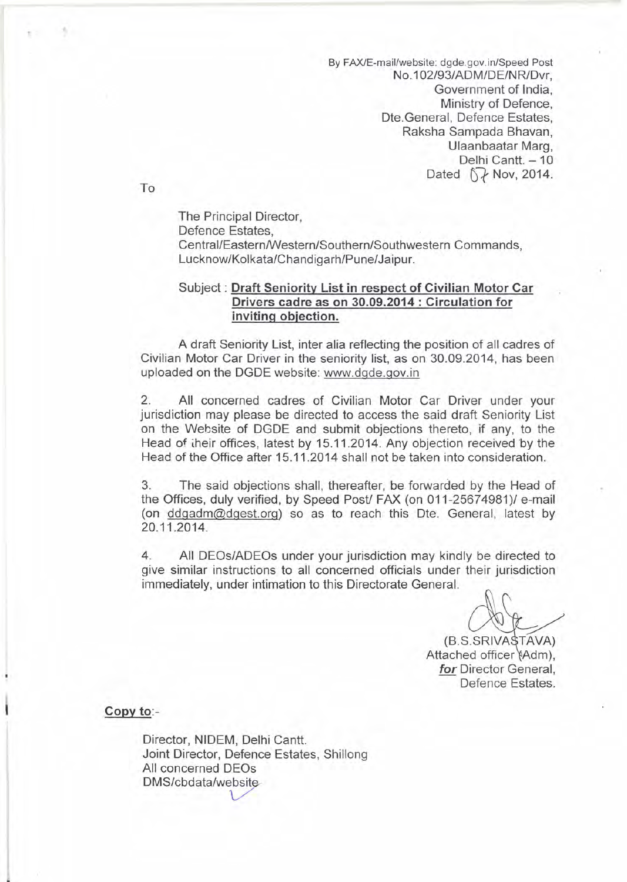By FAX/E-mail/website: dgde.gov.in/Speed Post No.102/93/ADM/DE/NR/Dvr, Government of India, Ministry of Defence, Dte.General, Defence Estates, Raksha Sampada Bhavan, Ulaanbaatar Marg, Delhi Cantt. - 10 Dated  $\int \int \int \text{Nov}$ , 2014.

To

The Principal Director, Defence Estates, Central/EasternlWestern/Southern/Southwestern Commands, Lucknow/Kolkata/Chandigarh/Pune/Jaipur.

#### Subject: **Draft Seniority List in respect of Civilian Motor Car Drivers cadre as on 30.09.2014 : Circulation for inviting objection.**

A draft Seniority List, inter alia reflecting the position of all cadres of Civilian Motor Car Driver in the seniority list, as on 30.09.2014, has been uploaded on the DGDE website: www.dgde.gov.in

2. All concerned cadres of Civilian Motor Car Driver under your jurisdiction may please be directed to access the said draft Seniority List on the Website of DGDE and submit objections thereto, if any, to the Head of iheir offices, latest by 15.11.2014. Any objection received by the Head of the Office after 15.11.2014 shall not be taken into consideration.

3. The said objections shall, thereafter, be forwarded by the Head of the Offices, duly verified, by Speed Post/ FAX (on 011-25674981)/ e-mail (on ddgadm@dgest.org) so as to reach this Dte. General, latest by 20.11.2014.

4. All DEOs/ADEOs under your jurisdiction may kindly be directed to give similar instructions to all concerned officials under their jurisdiction immediately, under intimation to this Directorate General.

(B.S.SRIVASTAVA)

Attached officer (Adm), *for* Director General, Defence Estates.

**Copy** to:-

Director, NIDEM, Delhi Cantt. Joint Director, Defence Estates, Shillong All concerned DEOs DMS/cbdata/website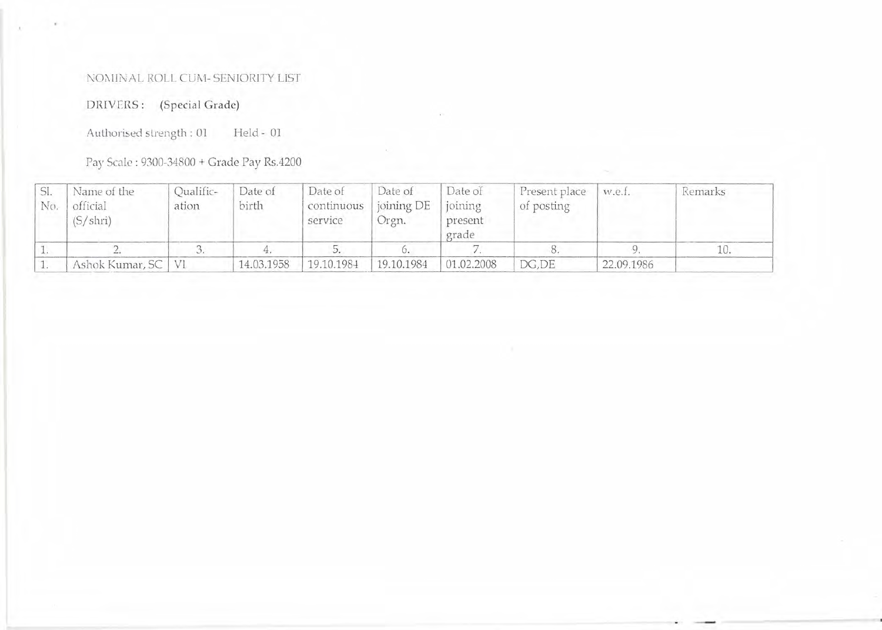# NOMINAL ROLL CUM- SENIORITY LIST

DRIVERS: (Special Grade)

Authorised strength: 01  $\rm{Held}$  -  $\rm{01}$ 

Pay Scale: 9300-34800 + Grade Pay Rs.4200

| No. | Name of the<br>official<br>$(S/\shri)$ | Qualific-<br>ation | Date of<br>birth | Date of<br>continuous<br>service | Date of<br>joining DE<br>Orgn. | Date of<br>joining<br>present<br>grade | Present place<br>of posting | w.e.f.     | Remarks |
|-----|----------------------------------------|--------------------|------------------|----------------------------------|--------------------------------|----------------------------------------|-----------------------------|------------|---------|
|     |                                        |                    |                  |                                  |                                |                                        |                             |            | 10.     |
|     | Ashok Kumar, SC                        |                    | 14.03.1958       | 19.10.1984                       | 19.10.1984                     | 01.02.2008                             | DG, DE                      | 22.09.1986 |         |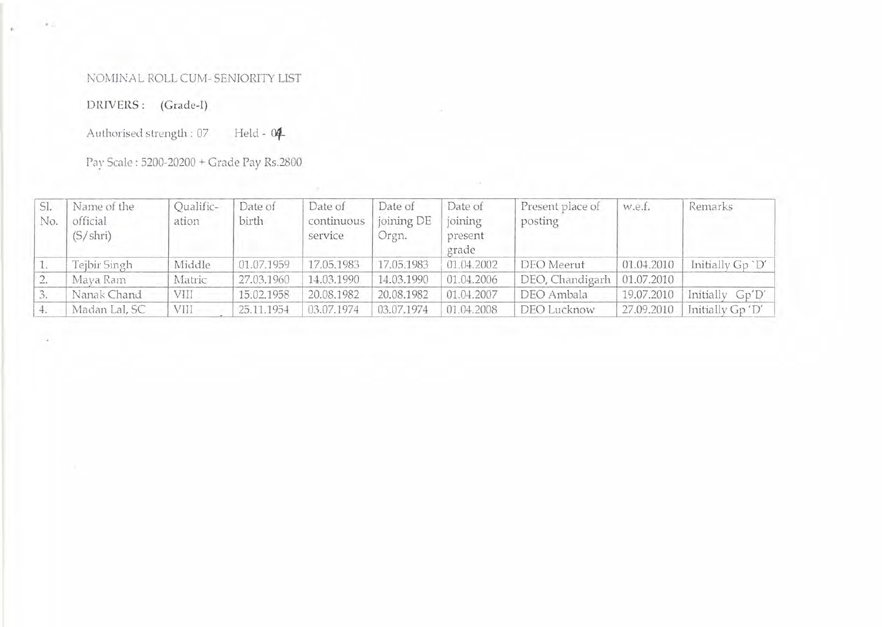### NOMINAL ROLL CUM- SENIORITY LIST

DRIVERS: (Grade-I)

 $\rightarrow$  .

Authorised strength: 07 Held - 04

Pay Scale: 5200-20200 + Grade Pay Rs.2800

| Sl.<br>No. | Name of the<br>official<br>(S/shri) | Qualific-<br>ation | Date of<br>birth | Date of<br>continuous<br>service | Date of<br>joining DE<br>Orgn. | Date of<br>joining<br>present<br>grade | Present place of<br>posting | w.e.f.     | Remarks          |
|------------|-------------------------------------|--------------------|------------------|----------------------------------|--------------------------------|----------------------------------------|-----------------------------|------------|------------------|
|            | Tejbir Singh                        | Middle             | 01.07.1959       | 17.05.1983                       | 17.05.1983                     | 01.04.2002                             | DEO Meerut                  | 01.04.2010 | Initially Gp `D' |
|            | Maya Ram                            | Matric             | 27.03.1960       | 14.03.1990                       | 14.03.1990                     | 01.04.2006                             | DEO, Chandigarh             | 01.07.2010 |                  |
|            | Nanak Chand                         | VIII               | 15.02.1958       | 20.08.1982                       | 20.08.1982                     | 01.04.2007                             | DEO Ambala                  | 19.07.2010 | Initially Gp'D'  |
|            | Madan Lal, SC                       | VIII               | 25.11.1954       | 03.07.1974                       | 03.07.1974                     | 01.04.2008                             | DEO Lucknow                 | 27.09.2010 | Initially Gp'D'  |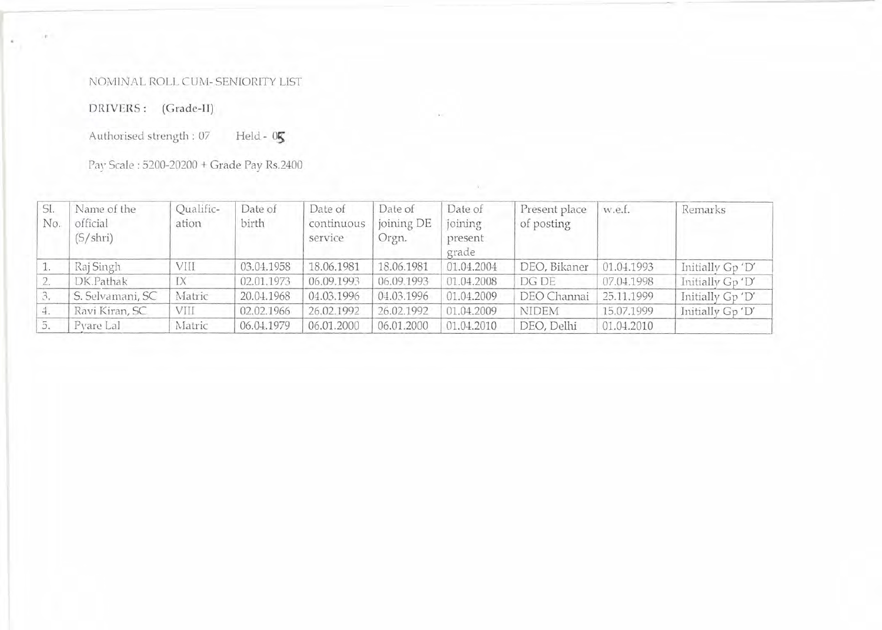# NOMINAL ROLL CUM-SENIORITY LIST

DRIVERS: (Grade-II)

Authorised strength: 07 Held - **OS**

Pay Scale: 5200-20200 + Grade Pay Rs.2400

| SI.<br>No. | Name of the<br>official<br>$(S/\text{shri})$ | Qualific-<br>ation | Date of<br>birth | Date of<br>continuous<br>service | Date of<br>joining DE<br>Orgn. | Date of<br>joining<br>present<br>grade | Present place<br>of posting | w.e.f.     | Remarks          |
|------------|----------------------------------------------|--------------------|------------------|----------------------------------|--------------------------------|----------------------------------------|-----------------------------|------------|------------------|
|            | Raj Singh                                    | VIII               | 03.04.1958       | 18.06.1981                       | 18.06.1981                     | 01.04.2004                             | DEO, Bikaner                | 01.04.1993 | Initially Gp 'D' |
|            | DK.Pathak                                    | <b>TV</b>          | 02.01.1973       | 06.09.1993                       | 06.09.1993                     | 01.04.2008                             | DG DE                       | 07.04.1998 | Initially Gp 'D' |
|            | S. Selvamani, SC                             | Matric             | 20.04.1968       | 04.03.1996                       | 04.03.1996                     | 01.04.2009                             | DEO Channai                 | 25.11.1999 | Initially Gp 'D' |
|            | Ravi Kiran, SC                               | VIII               | 02.02.1966       | 26.02.1992                       | 26.02.1992                     | 01.04.2009                             | <b>NIDEM</b>                | 15.07.1999 | Initially Gp 'D' |
| 5.         | Pyare Lal                                    | Matric             | 06.04.1979       | 06.01.2000                       | 06.01.2000                     | 01.04.2010                             | DEO, Delhi                  | 01.04.2010 |                  |